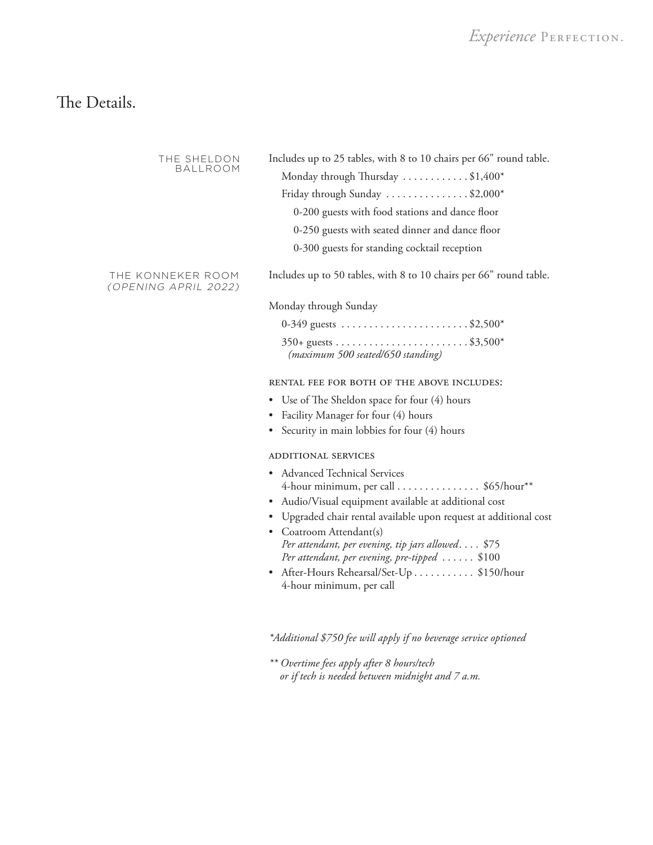# The Details.

| THE SHELDON<br><b>BALLROOM</b>            | Includes up to 25 tables, with 8 to 10 chairs per 66" round table.<br>Monday through Thursday \$1,400*<br>Friday through Sunday \$2,000*<br>0-200 guests with food stations and dance floor<br>0-250 guests with seated dinner and dance floor<br>0-300 guests for standing cocktail reception                                                                                                                                |
|-------------------------------------------|-------------------------------------------------------------------------------------------------------------------------------------------------------------------------------------------------------------------------------------------------------------------------------------------------------------------------------------------------------------------------------------------------------------------------------|
| THE KONNEKER ROOM<br>(OPENING APRIL 2022) | Includes up to 50 tables, with 8 to 10 chairs per 66" round table.                                                                                                                                                                                                                                                                                                                                                            |
|                                           | Monday through Sunday                                                                                                                                                                                                                                                                                                                                                                                                         |
|                                           | 0-349 guests \$2,500*                                                                                                                                                                                                                                                                                                                                                                                                         |
|                                           | (maximum 500 seated/650 standing)                                                                                                                                                                                                                                                                                                                                                                                             |
|                                           | RENTAL FEE FOR BOTH OF THE ABOVE INCLUDES:                                                                                                                                                                                                                                                                                                                                                                                    |
|                                           | • Use of The Sheldon space for four (4) hours                                                                                                                                                                                                                                                                                                                                                                                 |
|                                           | Facility Manager for four (4) hours<br>٠                                                                                                                                                                                                                                                                                                                                                                                      |
|                                           | Security in main lobbies for four (4) hours                                                                                                                                                                                                                                                                                                                                                                                   |
|                                           | ADDITIONAL SERVICES                                                                                                                                                                                                                                                                                                                                                                                                           |
|                                           | <b>Advanced Technical Services</b><br>4-hour minimum, per call \$65/hour**<br>Audio/Visual equipment available at additional cost<br>· Upgraded chair rental available upon request at additional cost<br>• Coatroom Attendant(s)<br>Per attendant, per evening, tip jars allowed \$75<br>Per attendant, per evening, pre-tipped $\ldots \ldots$ \$100<br>After-Hours Rehearsal/Set-Up \$150/hour<br>4-hour minimum, per call |

*\*Additional \$750 fee will apply if no beverage service optioned*

*\*\* Overtime fees apply after 8 hours/tech or if tech is needed between midnight and 7 a.m.*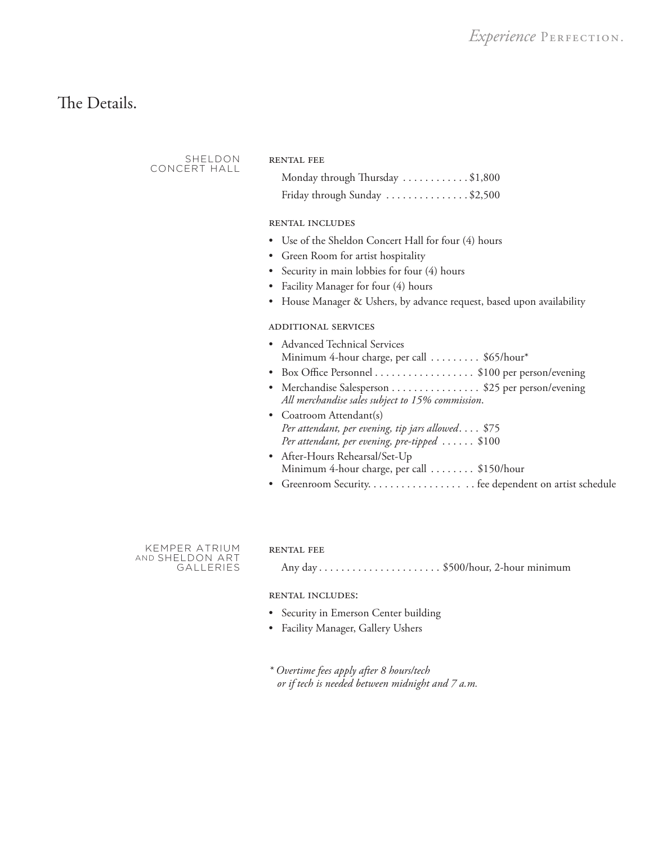# The Details.

SHELDON CONCERT HALL

#### RENTAL FEE

| Monday through Thursday \$1,800                         |  |
|---------------------------------------------------------|--|
| Friday through Sunday $\dots \dots \dots \dots$ \$2,500 |  |

# rental includes

- Use of the Sheldon Concert Hall for four (4) hours
- Green Room for artist hospitality
- Security in main lobbies for four (4) hours
- Facility Manager for four (4) hours
- House Manager & Ushers, by advance request, based upon availability

# additional services

- Advanced Technical Services Minimum 4-hour charge, per call . . . . . . . . . \$65/hour\*
- Box Office Personnel . . . . . . . . . . . . . . . . \$100 per person/evening
- Merchandise Salesperson . . . . . . . . . . . . . . \$25 per person/evening *All merchandise sales subject to 15% commission*.
- Coatroom Attendant(s) *Per attendant, per evening, tip jars allowed....* \$75 *Per attendant, per evening, pre-tipped* ...... \$100
- After-Hours Rehearsal/Set-Up Minimum 4-hour charge, per call . . . . . . . . \$150/hour
- Greenroom Security. . . . . . . . . . . . . . . . . . . fee dependent on artist schedule

KEMPER ATRIUM AND SHELDON ART **GALLERIES** 

#### rental fee

Any day. . . \$500/hour, 2-hour minimum

#### rental includes:

- Security in Emerson Center building
- Facility Manager, Gallery Ushers
- *\* Overtime fees apply after 8 hours/tech or if tech is needed between midnight and 7 a.m.*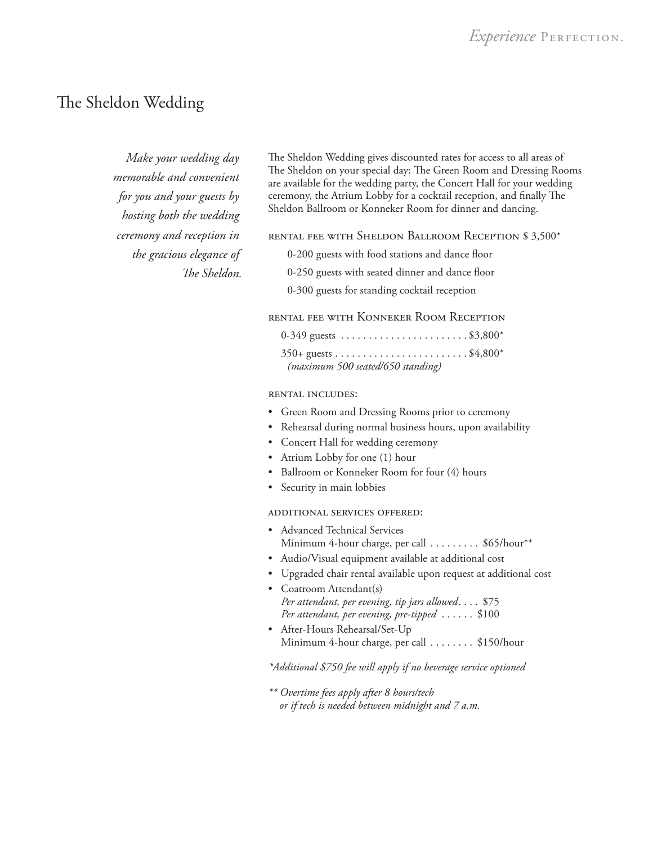# The Sheldon Wedding

*Make your wedding day memorable and convenient for you and your guests by hosting both the wedding ceremony and reception in the gracious elegance of The Sheldon.* 

The Sheldon Wedding gives discounted rates for access to all areas of The Sheldon on your special day: The Green Room and Dressing Rooms are available for the wedding party, the Concert Hall for your wedding ceremony, the Atrium Lobby for a cocktail reception, and finally The Sheldon Ballroom or Konneker Room for dinner and dancing.

rental fee with Sheldon Ballroom Reception \$ 3,500\*

0-200 guests with food stations and dance floor

0-250 guests with seated dinner and dance floor

0-300 guests for standing cocktail reception

# rental fee with Konneker Room Reception

| 0-349 guests \$3,800*             |  |
|-----------------------------------|--|
|                                   |  |
| (maximum 500 seated/650 standing) |  |

#### rental includes:

- Green Room and Dressing Rooms prior to ceremony
- Rehearsal during normal business hours, upon availability
- Concert Hall for wedding ceremony
- Atrium Lobby for one (1) hour
- Ballroom or Konneker Room for four (4) hours
- Security in main lobbies

#### additional services offered:

- Advanced Technical Services Minimum 4-hour charge, per call . . . . . . . . . \$65/hour\*\*
- Audio/Visual equipment available at additional cost
- Upgraded chair rental available upon request at additional cost
- Coatroom Attendant(s) *Per attendant, per evening, tip jars allowed....* \$75 *Per attendant, per evening, pre-tipped*...... \$100
- After-Hours Rehearsal/Set-Up Minimum 4-hour charge, per call . . . . . . . . \$150/hour

## *\*Additional \$750 fee will apply if no beverage service optioned*

*\*\* Overtime fees apply after 8 hours/tech or if tech is needed between midnight and 7 a.m.*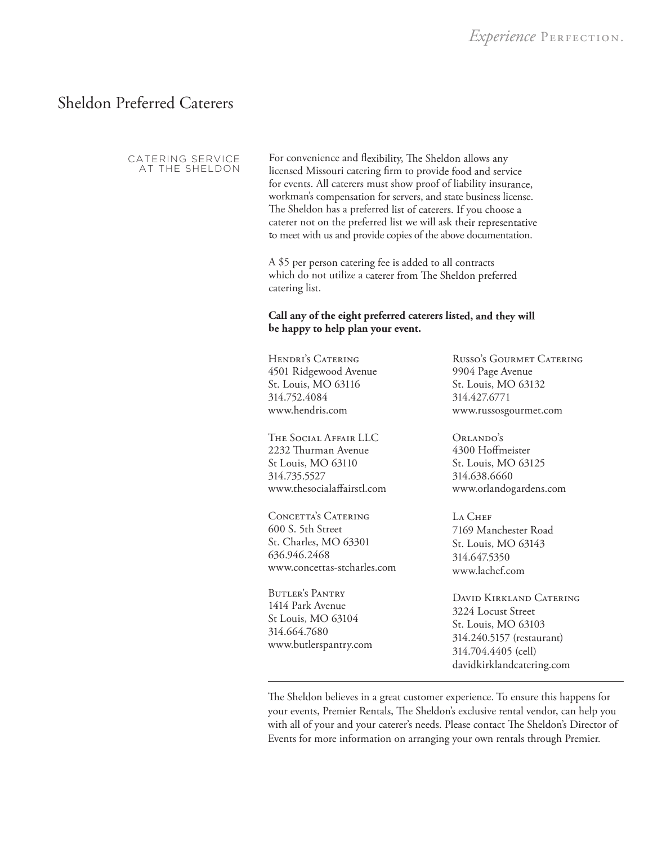# Sheldon Preferred Caterers

CATERING SERVICE AT THE SHELDON

For convenience and flexibility, The Sheldon allows any licensed Missouri catering firm to provide food and service for events. All caterers must show proof of liability insurance, workman's compensation for servers, and state business license. The Sheldon has a preferred list of caterers. If you choose a caterer not on the preferred list we will ask their representative to meet with us and provide copies of the above documentation.

A \$5 per person catering fee is added to all contracts which do not utilize a caterer from The Sheldon preferred catering list.

# **Call any of the eight preferred caterers listed, and they will be happy to help plan your event.**

HENDRI'S CATERING 4501 Ridgewood Avenue St. Louis, MO 63116 314.752.4084 www.hendris.com

The Social Affair LLC 2232 Thurman Avenue St Louis, MO 63110 314.735.5527 www.thesocialaffairstl.com

CONCETTA'S CATERING 600 S. 5th Street St. Charles, MO 63301 636.946.2468 www.concettas-stcharles.com

Butler's Pantry 1414 Park Avenue St Louis, MO 63104 314.664.7680 www.butlerspantry.com

Russo's Gourmet Catering 9904 Page Avenue St. Louis, MO 63132 314.427.6771 www.russosgourmet.com

ORLANDO'S 4300 Hoffmeister St. Louis, MO 63125 314.638.6660 www.orlandogardens.com

L<sub>A</sub> Chef 7169 Manchester Road St. Louis, MO 63143 314.647.5350 www.lachef.com

David Kirkland Catering 3224 Locust Street St. Louis, MO 63103 314.240.5157 (restaurant) 314.704.4405 (cell) davidkirklandcatering.com

The Sheldon believes in a great customer experience. To ensure this happens for your events, Premier Rentals, The Sheldon's exclusive rental vendor, can help you with all of your and your caterer's needs. Please contact The Sheldon's Director of Events for more information on arranging your own rentals through Premier.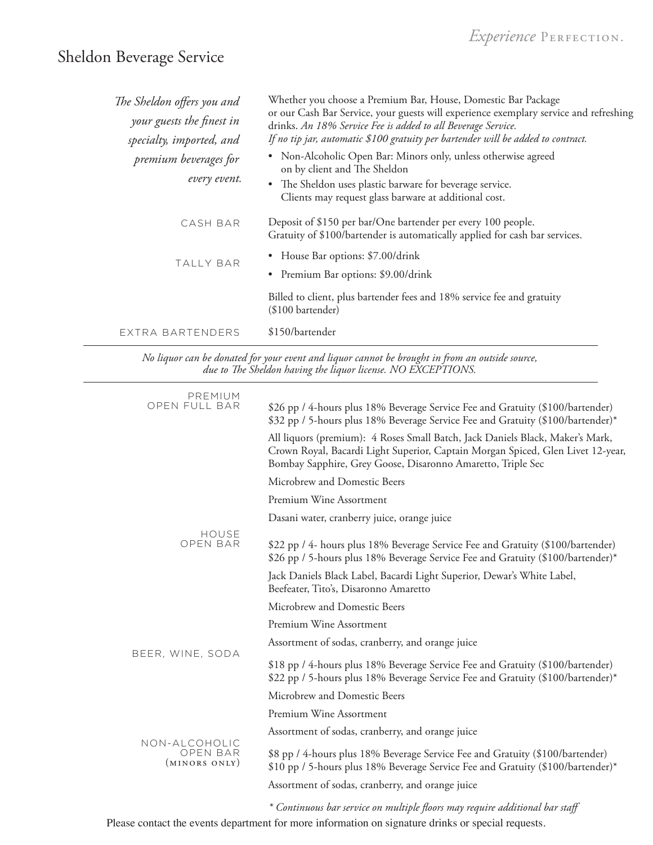# Sheldon Beverage Service

| The Sheldon offers you and<br>your guests the finest in<br>specialty, imported, and | Whether you choose a Premium Bar, House, Domestic Bar Package<br>or our Cash Bar Service, your guests will experience exemplary service and refreshing<br>drinks. An 18% Service Fee is added to all Beverage Service.<br>If no tip jar, automatic \$100 gratuity per bartender will be added to contract. |
|-------------------------------------------------------------------------------------|------------------------------------------------------------------------------------------------------------------------------------------------------------------------------------------------------------------------------------------------------------------------------------------------------------|
| premium beverages for<br>every event.                                               | • Non-Alcoholic Open Bar: Minors only, unless otherwise agreed<br>on by client and The Sheldon<br>• The Sheldon uses plastic barware for beverage service.<br>Clients may request glass barware at additional cost.                                                                                        |
| CASH BAR                                                                            | Deposit of \$150 per bar/One bartender per every 100 people.<br>Gratuity of \$100/bartender is automatically applied for cash bar services.                                                                                                                                                                |
| <b>TALLY BAR</b>                                                                    | House Bar options: \$7.00/drink<br>$\bullet$<br>• Premium Bar options: \$9.00/drink                                                                                                                                                                                                                        |
|                                                                                     | Billed to client, plus bartender fees and 18% service fee and gratuity<br>(\$100 bartender)                                                                                                                                                                                                                |
| EXTRA BARTENDERS                                                                    | \$150/bartender                                                                                                                                                                                                                                                                                            |

*No liquor can be donated for your event and liquor cannot be brought in from an outside source, due to The Sheldon having the liquor license. NO EXCEPTIONS.*

| PREMIUM<br>OPEN FULL BAR                   | \$26 pp / 4-hours plus 18% Beverage Service Fee and Gratuity (\$100/bartender)<br>\$32 pp / 5-hours plus 18% Beverage Service Fee and Gratuity (\$100/bartender)*                                                               |
|--------------------------------------------|---------------------------------------------------------------------------------------------------------------------------------------------------------------------------------------------------------------------------------|
|                                            | All liquors (premium): 4 Roses Small Batch, Jack Daniels Black, Maker's Mark,<br>Crown Royal, Bacardi Light Superior, Captain Morgan Spiced, Glen Livet 12-year,<br>Bombay Sapphire, Grey Goose, Disaronno Amaretto, Triple Sec |
|                                            | Microbrew and Domestic Beers                                                                                                                                                                                                    |
|                                            | Premium Wine Assortment                                                                                                                                                                                                         |
|                                            | Dasani water, cranberry juice, orange juice                                                                                                                                                                                     |
| HOUSE<br>OPEN BAR                          | \$22 pp / 4- hours plus 18% Beverage Service Fee and Gratuity (\$100/bartender)<br>\$26 pp / 5-hours plus 18% Beverage Service Fee and Gratuity (\$100/bartender)*                                                              |
|                                            | Jack Daniels Black Label, Bacardi Light Superior, Dewar's White Label,<br>Beefeater, Tito's, Disaronno Amaretto                                                                                                                 |
|                                            | Microbrew and Domestic Beers                                                                                                                                                                                                    |
| BEER, WINE, SODA                           | Premium Wine Assortment                                                                                                                                                                                                         |
|                                            | Assortment of sodas, cranberry, and orange juice                                                                                                                                                                                |
|                                            | \$18 pp / 4-hours plus 18% Beverage Service Fee and Gratuity (\$100/bartender)<br>\$22 pp / 5-hours plus 18% Beverage Service Fee and Gratuity (\$100/bartender)*                                                               |
|                                            | Microbrew and Domestic Beers                                                                                                                                                                                                    |
|                                            | Premium Wine Assortment                                                                                                                                                                                                         |
|                                            | Assortment of sodas, cranberry, and orange juice                                                                                                                                                                                |
| NON-ALCOHOLIC<br>OPEN BAR<br>(MINORS ONLY) | \$8 pp / 4-hours plus 18% Beverage Service Fee and Gratuity (\$100/bartender)<br>\$10 pp / 5-hours plus 18% Beverage Service Fee and Gratuity (\$100/bartender)*                                                                |
|                                            | Assortment of sodas, cranberry, and orange juice                                                                                                                                                                                |
|                                            | $\mathbf{r}$                                                                                                                                                                                                                    |

*\* Continuous bar service on multiple floors may require additional bar staff* Please contact the events department for more information on signature drinks or special requests.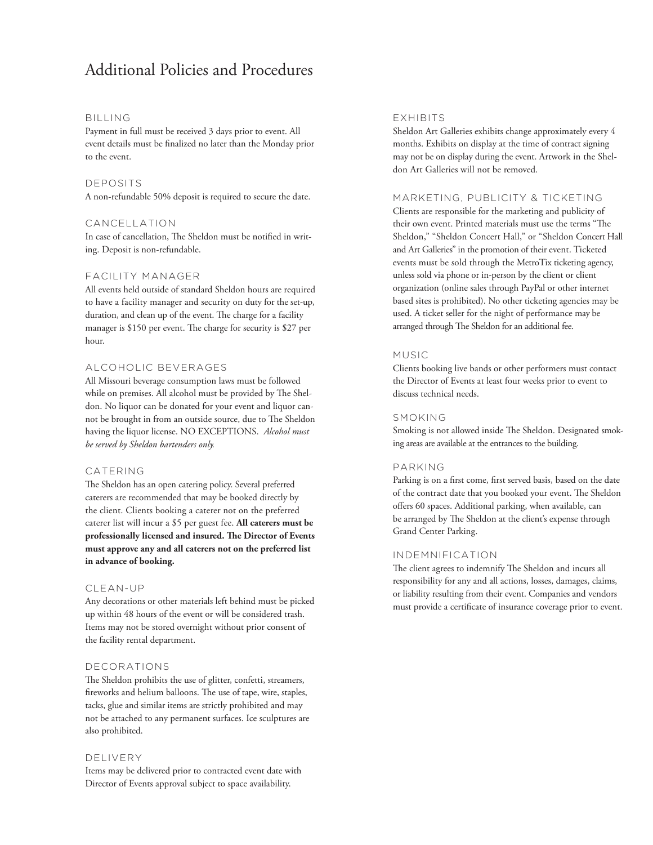# Additional Policies and Procedures

#### BILLING

Payment in full must be received 3 days prior to event. All event details must be finalized no later than the Monday prior to the event.

# DEPOSITS

A non-refundable 50% deposit is required to secure the date.

## CANCELLATION

In case of cancellation, The Sheldon must be notified in writing. Deposit is non-refundable.

# FACILITY MANAGER

All events held outside of standard Sheldon hours are required to have a facility manager and security on duty for the set-up, duration, and clean up of the event. The charge for a facility manager is \$150 per event. The charge for security is \$27 per hour.

#### ALCOHOLIC BEVERAGES

All Missouri beverage consumption laws must be followed while on premises. All alcohol must be provided by The Sheldon. No liquor can be donated for your event and liquor cannot be brought in from an outside source, due to The Sheldon having the liquor license. NO EXCEPTIONS. *Alcohol must be served by Sheldon bartenders only.*

# CATERING

The Sheldon has an open catering policy. Several preferred caterers are recommended that may be booked directly by the client. Clients booking a caterer not on the preferred caterer list will incur a \$5 per guest fee. **All caterers must be professionally licensed and insured. The Director of Events must approve any and all caterers not on the preferred list in advance of booking.**

#### CLEAN-UP

Any decorations or other materials left behind must be picked up within 48 hours of the event or will be considered trash. Items may not be stored overnight without prior consent of the facility rental department.

#### DECORATIONS

The Sheldon prohibits the use of glitter, confetti, streamers, fireworks and helium balloons. The use of tape, wire, staples, tacks, glue and similar items are strictly prohibited and may not be attached to any permanent surfaces. Ice sculptures are also prohibited.

#### DELIVERY

Items may be delivered prior to contracted event date with Director of Events approval subject to space availability.

#### EXHIBITS

Sheldon Art Galleries exhibits change approximately every 4 months. Exhibits on display at the time of contract signing may not be on display during the event. Artwork in the Sheldon Art Galleries will not be removed.

# MARKETING, PUBLICITY & TICKETING

Clients are responsible for the marketing and publicity of their own event. Printed materials must use the terms "The Sheldon," "Sheldon Concert Hall," or "Sheldon Concert Hall and Art Galleries" in the promotion of their event. Ticketed events must be sold through the MetroTix ticketing agency, unless sold via phone or in-person by the client or client organization (online sales through PayPal or other internet based sites is prohibited). No other ticketing agencies may be used. A ticket seller for the night of performance may be arranged through The Sheldon for an additional fee.

#### MUSIC

Clients booking live bands or other performers must contact the Director of Events at least four weeks prior to event to discuss technical needs.

# SMOKING

Smoking is not allowed inside The Sheldon. Designated smoking areas are available at the entrances to the building.

#### PARKING

Parking is on a first come, first served basis, based on the date of the contract date that you booked your event. The Sheldon offers 60 spaces. Additional parking, when available, can be arranged by The Sheldon at the client's expense through Grand Center Parking.

# INDEMNIFICATION

The client agrees to indemnify The Sheldon and incurs all responsibility for any and all actions, losses, damages, claims, or liability resulting from their event. Companies and vendors must provide a certificate of insurance coverage prior to event.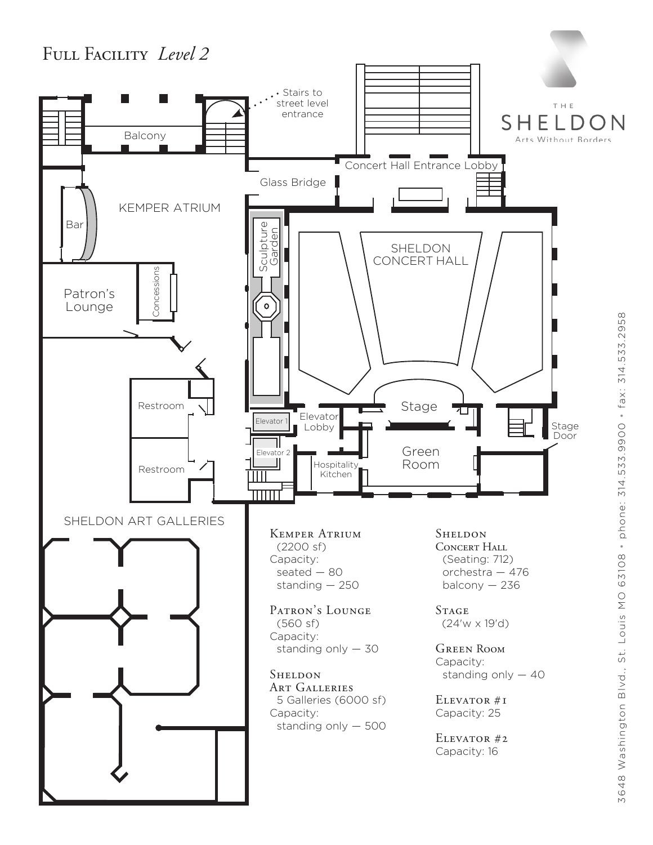# Full Facility *Level 2*



3648 Washington Blvd., St. Louis MO 63108 · phone: 314.533.9900 · fax: 314.533.2958 3648 Washington Blvd., St. Louis MO 63108 • phone: 314.533.9900 • fax: 314.533.2958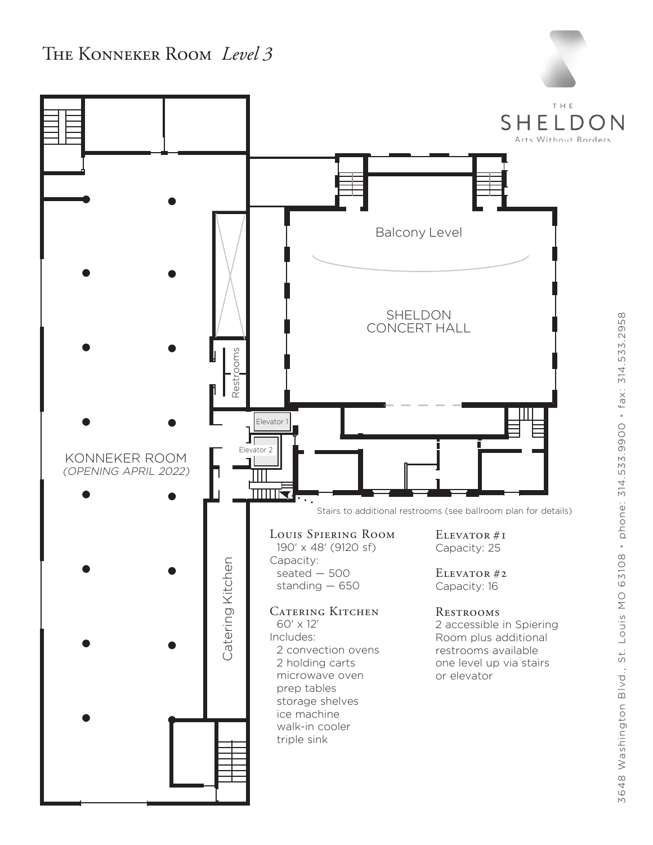